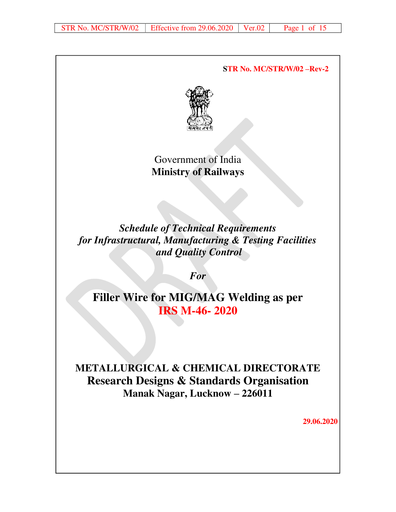**STR No. MC/STR/W/02 –Rev-2** 



# Government of India **Ministry of Railways**

*Schedule of Technical Requirements for Infrastructural, Manufacturing & Testing Facilities and Quality Control* 

*For* 

**Filler Wire for MIG/MAG Welding as per IRS M-46- 2020**

# **METALLURGICAL & CHEMICAL DIRECTORATE Research Designs & Standards Organisation Manak Nagar, Lucknow – 226011**

**29.06.2020**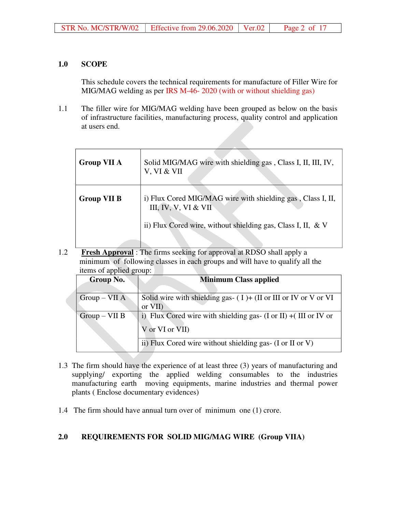## **1.0 SCOPE**

This schedule covers the technical requirements for manufacture of Filler Wire for MIG/MAG welding as per IRS M-46- 2020 (with or without shielding gas)

1.1 The filler wire for MIG/MAG welding have been grouped as below on the basis of infrastructure facilities, manufacturing process, quality control and application at users end.

| <b>Group VII A</b> | Solid MIG/MAG wire with shielding gas, Class I, II, III, IV,<br>V, VI & VII         |
|--------------------|-------------------------------------------------------------------------------------|
| <b>Group VII B</b> | i) Flux Cored MIG/MAG wire with shielding gas, Class I, II,<br>III, IV, V, VI & VII |
|                    | ii) Flux Cored wire, without shielding gas, Class I, II, & V                        |

1.2 **Fresh Approval** : The firms seeking for approval at RDSO shall apply a minimum of following classes in each groups and will have to qualify all the items of applied group:

| <b>Group No.</b> | <b>Minimum Class applied</b>                                                                                        |
|------------------|---------------------------------------------------------------------------------------------------------------------|
| $Group-VII A$    | Solid wire with shielding gas- $(1)$ + $(II)$ or III or IV or V or VI<br>or VII)                                    |
| $Group-VII B$    | i) Flux Cored wire with shielding gas- $(I \text{ or } II) + (III \text{ or } IV \text{ or } I)$<br>V or VI or VII) |
|                  | ii) Flux Cored wire without shielding gas- (I or II or V)                                                           |

- 1.3 The firm should have the experience of at least three (3) years of manufacturing and supplying/ exporting the applied welding consumables to the industries manufacturing earth moving equipments, marine industries and thermal power plants ( Enclose documentary evidences)
- 1.4 The firm should have annual turn over of minimum one (1) crore.

## **2.0 REQUIREMENTS FOR SOLID MIG/MAG WIRE (Group VIIA)**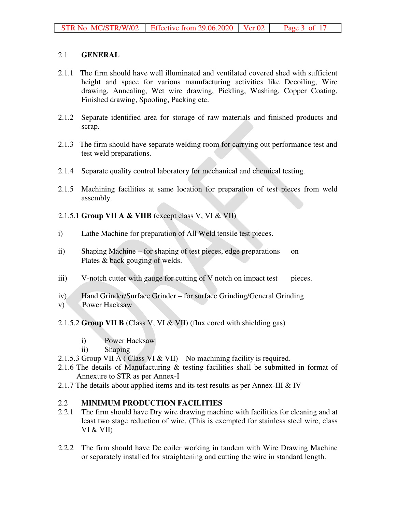## 2.1 **GENERAL**

- 2.1.1 The firm should have well illuminated and ventilated covered shed with sufficient height and space for various manufacturing activities like Decoiling, Wire drawing, Annealing, Wet wire drawing, Pickling, Washing, Copper Coating, Finished drawing, Spooling, Packing etc.
- 2.1.2 Separate identified area for storage of raw materials and finished products and scrap.
- 2.1.3 The firm should have separate welding room for carrying out performance test and test weld preparations.
- 2.1.4 Separate quality control laboratory for mechanical and chemical testing.
- 2.1.5 Machining facilities at same location for preparation of test pieces from weld assembly.
- 2.1.5.1 **Group VII A & VIIB** (except class V, VI & VII)
- i) Lathe Machine for preparation of All Weld tensile test pieces.
- ii) Shaping Machine for shaping of test pieces, edge preparations on Plates & back gouging of welds.
- iii) V-notch cutter with gauge for cutting of V notch on impact test pieces.
- iv) Hand Grinder/Surface Grinder for surface Grinding/General Grinding
- v) Power Hacksaw
- 2.1.5.2 **Group VII B** (Class V, VI & VII) (flux cored with shielding gas)
	- i) Power Hacksaw
	- ii) Shaping
- 2.1.5.3 Group VII A (Class VI & VII) No machining facility is required.
- 2.1.6 The details of Manufacturing & testing facilities shall be submitted in format of Annexure to STR as per Annex-I
- 2.1.7 The details about applied items and its test results as per Annex-III  $&$  IV

## 2.2 **MINIMUM PRODUCTION FACILITIES**

- 2.2.1 The firm should have Dry wire drawing machine with facilities for cleaning and at least two stage reduction of wire. (This is exempted for stainless steel wire, class VI & VII)
- 2.2.2 The firm should have De coiler working in tandem with Wire Drawing Machine or separately installed for straightening and cutting the wire in standard length.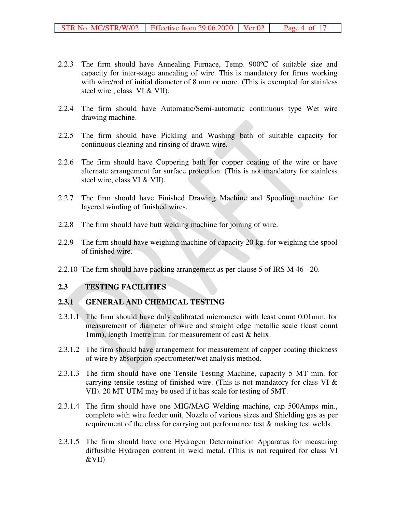- 2.2.3 The firm should have Annealing Furnace, Temp. 900ºC of suitable size and capacity for inter-stage annealing of wire. This is mandatory for firms working with wire/rod of initial diameter of 8 mm or more. (This is exempted for stainless steel wire , class VI & VII).
- 2.2.4 The firm should have Automatic/Semi-automatic continuous type Wet wire drawing machine.
- 2.2.5 The firm should have Pickling and Washing bath of suitable capacity for continuous cleaning and rinsing of drawn wire.
- 2.2.6 The firm should have Coppering bath for copper coating of the wire or have alternate arrangement for surface protection. (This is not mandatory for stainless steel wire, class VI & VII).
- 2.2.7 The firm should have Finished Drawing Machine and Spooling machine for layered winding of finished wires.
- 2.2.8 The firm should have butt welding machine for joining of wire.
- 2.2.9 The firm should have weighing machine of capacity 20 kg. for weighing the spool of finished wire.
- 2.2.10 The firm should have packing arrangement as per clause 5 of IRS M 46 20.

#### **2.3 TESTING FACILITIES**

#### **2.3.1 GENERAL AND CHEMICAL TESTING**

- 2.3.1.1 The firm should have duly calibrated micrometer with least count 0.01mm. for measurement of diameter of wire and straight edge metallic scale (least count 1mm), length 1metre min. for measurement of cast & helix.
- 2.3.1.2 The firm should have arrangement for measurement of copper coating thickness of wire by absorption spectrometer/wet analysis method.
- 2.3.1.3 The firm should have one Tensile Testing Machine, capacity 5 MT min. for carrying tensile testing of finished wire. (This is not mandatory for class VI & VII). 20 MT UTM may be used if it has scale for testing of 5MT.
- 2.3.1.4 The firm should have one MIG/MAG Welding machine, cap 500Amps min., complete with wire feeder unit, Nozzle of various sizes and Shielding gas as per requirement of the class for carrying out performance test  $\&$  making test welds.
- 2.3.1.5 The firm should have one Hydrogen Determination Apparatus for measuring diffusible Hydrogen content in weld metal. (This is not required for class VI &VII)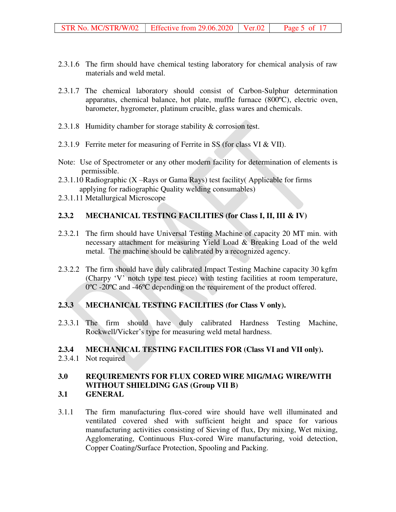- 2.3.1.6 The firm should have chemical testing laboratory for chemical analysis of raw materials and weld metal.
- 2.3.1.7 The chemical laboratory should consist of Carbon-Sulphur determination apparatus, chemical balance, hot plate, muffle furnace (800ºC), electric oven, barometer, hygrometer, platinum crucible, glass wares and chemicals.
- 2.3.1.8 Humidity chamber for storage stability & corrosion test.
- 2.3.1.9 Ferrite meter for measuring of Ferrite in SS (for class VI & VII).
- Note: Use of Spectrometer or any other modern facility for determination of elements is permissible.
- 2.3.1.10 Radiographic (X –Rays or Gama Rays) test facility( Applicable for firms applying for radiographic Quality welding consumables)
- 2.3.1.11 Metallurgical Microscope

#### **2.3.2 MECHANICAL TESTING FACILITIES (for Class I, II, III & IV)**

- 2.3.2.1 The firm should have Universal Testing Machine of capacity 20 MT min. with necessary attachment for measuring Yield Load & Breaking Load of the weld metal. The machine should be calibrated by a recognized agency.
- 2.3.2.2 The firm should have duly calibrated Impact Testing Machine capacity 30 kgfm (Charpy 'V' notch type test piece) with testing facilities at room temperature, 0ºC -20ºC and -46ºC depending on the requirement of the product offered.

#### **2.3.3 MECHANICAL TESTING FACILITIES (for Class V only).**

2.3.3.1 The firm should have duly calibrated Hardness Testing Machine, Rockwell/Vicker's type for measuring weld metal hardness.

## **2.3.4 MECHANICAL TESTING FACILITIES FOR (Class VI and VII only).**

2.3.4.1 Not required

## **3.0 REQUIREMENTS FOR FLUX CORED WIRE MIG/MAG WIRE/WITH WITHOUT SHIELDING GAS (Group VII B)**

- **3.1 GENERAL**
- 3.1.1 The firm manufacturing flux-cored wire should have well illuminated and ventilated covered shed with sufficient height and space for various manufacturing activities consisting of Sieving of flux, Dry mixing, Wet mixing, Agglomerating, Continuous Flux-cored Wire manufacturing, void detection, Copper Coating/Surface Protection, Spooling and Packing.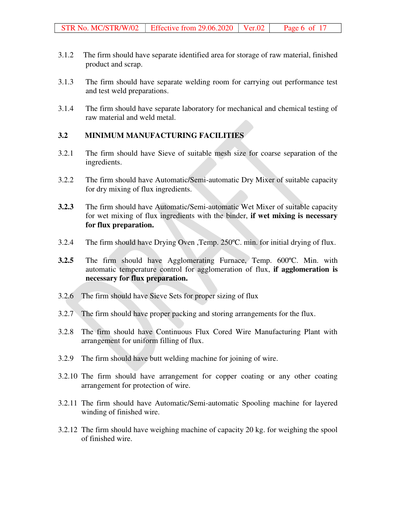- 3.1.2 The firm should have separate identified area for storage of raw material, finished product and scrap.
- 3.1.3 The firm should have separate welding room for carrying out performance test and test weld preparations.
- 3.1.4 The firm should have separate laboratory for mechanical and chemical testing of raw material and weld metal.

## **3.2 MINIMUM MANUFACTURING FACILITIES**

- 3.2.1 The firm should have Sieve of suitable mesh size for coarse separation of the ingredients.
- 3.2.2 The firm should have Automatic/Semi-automatic Dry Mixer of suitable capacity for dry mixing of flux ingredients.
- **3.2.3** The firm should have Automatic/Semi-automatic Wet Mixer of suitable capacity for wet mixing of flux ingredients with the binder, **if wet mixing is necessary for flux preparation.**
- 3.2.4 The firm should have Drying Oven ,Temp. 250ºC. min. for initial drying of flux.
- **3.2.5** The firm should have Agglomerating Furnace, Temp. 600ºC. Min. with automatic temperature control for agglomeration of flux, **if agglomeration is necessary for flux preparation.**
- 3.2.6 The firm should have Sieve Sets for proper sizing of flux
- 3.2.7 The firm should have proper packing and storing arrangements for the flux.
- 3.2.8 The firm should have Continuous Flux Cored Wire Manufacturing Plant with arrangement for uniform filling of flux.
- 3.2.9 The firm should have butt welding machine for joining of wire.
- 3.2.10 The firm should have arrangement for copper coating or any other coating arrangement for protection of wire.
- 3.2.11 The firm should have Automatic/Semi-automatic Spooling machine for layered winding of finished wire.
- 3.2.12 The firm should have weighing machine of capacity 20 kg. for weighing the spool of finished wire.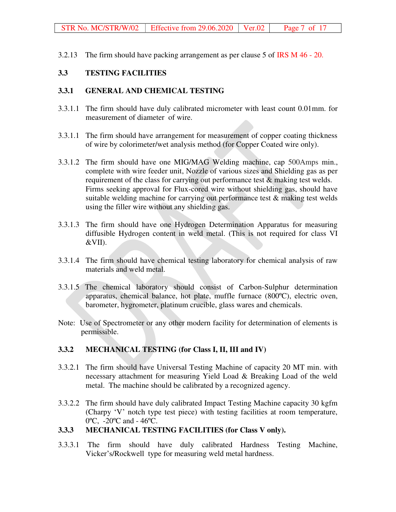3.2.13 The firm should have packing arrangement as per clause 5 of IRS M 46 - 20.

## **3.3 TESTING FACILITIES**

#### **3.3.1 GENERAL AND CHEMICAL TESTING**

- 3.3.1.1 The firm should have duly calibrated micrometer with least count 0.01mm. for measurement of diameter of wire.
- 3.3.1.1 The firm should have arrangement for measurement of copper coating thickness of wire by colorimeter/wet analysis method (for Copper Coated wire only).
- 3.3.1.2 The firm should have one MIG/MAG Welding machine, cap 500Amps min., complete with wire feeder unit, Nozzle of various sizes and Shielding gas as per requirement of the class for carrying out performance test & making test welds. Firms seeking approval for Flux-cored wire without shielding gas, should have suitable welding machine for carrying out performance test & making test welds using the filler wire without any shielding gas.
- 3.3.1.3 The firm should have one Hydrogen Determination Apparatus for measuring diffusible Hydrogen content in weld metal. (This is not required for class VI &VII).
- 3.3.1.4 The firm should have chemical testing laboratory for chemical analysis of raw materials and weld metal.
- 3.3.1.5 The chemical laboratory should consist of Carbon-Sulphur determination apparatus, chemical balance, hot plate, muffle furnace (800ºC), electric oven, barometer, hygrometer, platinum crucible, glass wares and chemicals.
- Note: Use of Spectrometer or any other modern facility for determination of elements is permissible.

#### **3.3.2 MECHANICAL TESTING (for Class I, II, III and IV)**

- 3.3.2.1 The firm should have Universal Testing Machine of capacity 20 MT min. with necessary attachment for measuring Yield Load & Breaking Load of the weld metal. The machine should be calibrated by a recognized agency.
- 3.3.2.2 The firm should have duly calibrated Impact Testing Machine capacity 30 kgfm (Charpy 'V' notch type test piece) with testing facilities at room temperature, 0ºC, -20ºC and - 46ºC.

## **3.3.3 MECHANICAL TESTING FACILITIES (for Class V only).**

3.3.3.1 The firm should have duly calibrated Hardness Testing Machine, Vicker's/Rockwell type for measuring weld metal hardness.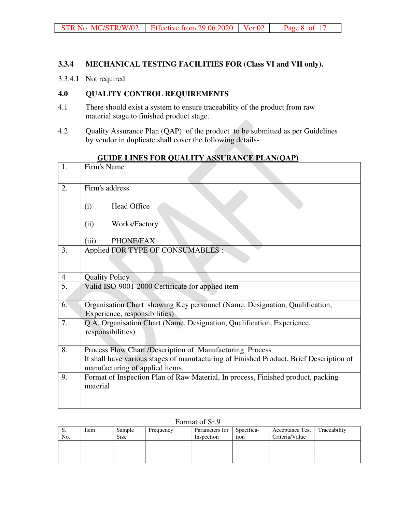#### **3.3.4 MECHANICAL TESTING FACILITIES FOR (Class VI and VII only).**

3.3.4.1 Not required

## **4.0 QUALITY CONTROL REQUIREMENTS**

- 4.1 There should exist a system to ensure traceability of the product from raw material stage to finished product stage.
- 4.2 Quality Assurance Plan (QAP) of the product to be submitted as per Guidelines by vendor in duplicate shall cover the following details-

| 1.             | Firm's Name                                                                                                                |
|----------------|----------------------------------------------------------------------------------------------------------------------------|
| 2.             | Firm's address                                                                                                             |
|                | <b>Head Office</b><br>(i)                                                                                                  |
|                | Works/Factory<br>(ii)                                                                                                      |
|                | PHONE/FAX<br>(iii)                                                                                                         |
| 3.             | Applied FOR TYPE OF CONSUMABLES :                                                                                          |
| $\overline{4}$ | <b>Quality Policy</b>                                                                                                      |
| 5.             | Valid ISO-9001-2000 Certificate for applied item                                                                           |
| 6.             | Organisation Chart showing Key personnel (Name, Designation, Qualification,<br>Experience, responsibilities)               |
| 7.             | Q.A. Organisation Chart (Name, Designation, Qualification, Experience,<br>responsibilities)                                |
| 8.             | Process Flow Chart /Description of Manufacturing Process                                                                   |
|                | It shall have various stages of manufacturing of Finished Product. Brief Description of<br>manufacturing of applied items. |
| 9.             | Format of Inspection Plan of Raw Material, In process, Finished product, packing<br>material                               |

## **GUIDE LINES FOR QUALITY ASSURANCE PLAN(QAP)**

#### Format of Sr.9

| S.  | Item | Sample      | Frequency | Parameters for | Specifica- | <b>Acceptance Test</b> | Traceability |
|-----|------|-------------|-----------|----------------|------------|------------------------|--------------|
| No. |      | <b>Size</b> |           | Inspection     | tion       | Criteria/Value         |              |
|     |      |             |           |                |            |                        |              |
|     |      |             |           |                |            |                        |              |
|     |      |             |           |                |            |                        |              |
|     |      |             |           |                |            |                        |              |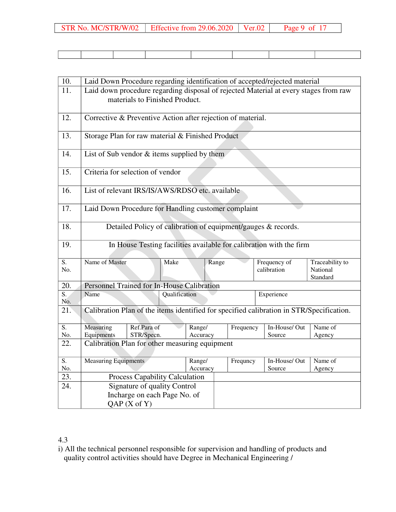| STR No. MC/STR/W/02   Effective from $29.06.2020$   Ver.02   Page 9 of 17 |  |
|---------------------------------------------------------------------------|--|

| 10.                     | Laid Down Procedure regarding identification of accepted/rejected material                                             |                                                                                          |          |           |                             |                                         |  |  |  |  |  |
|-------------------------|------------------------------------------------------------------------------------------------------------------------|------------------------------------------------------------------------------------------|----------|-----------|-----------------------------|-----------------------------------------|--|--|--|--|--|
| 11.                     | Laid down procedure regarding disposal of rejected Material at every stages from raw<br>materials to Finished Product. |                                                                                          |          |           |                             |                                         |  |  |  |  |  |
| 12.                     | Corrective & Preventive Action after rejection of material.                                                            |                                                                                          |          |           |                             |                                         |  |  |  |  |  |
| 13.                     | Storage Plan for raw material & Finished Product                                                                       |                                                                                          |          |           |                             |                                         |  |  |  |  |  |
| 14.                     |                                                                                                                        | List of Sub vendor & items supplied by them                                              |          |           |                             |                                         |  |  |  |  |  |
| 15.                     |                                                                                                                        | Criteria for selection of vendor                                                         |          |           |                             |                                         |  |  |  |  |  |
| 16.                     |                                                                                                                        | List of relevant IRS/IS/AWS/RDSO etc. available                                          |          |           |                             |                                         |  |  |  |  |  |
| 17.                     |                                                                                                                        | Laid Down Procedure for Handling customer complaint                                      |          |           |                             |                                         |  |  |  |  |  |
| 18.                     |                                                                                                                        | Detailed Policy of calibration of equipment/gauges & records.                            |          |           |                             |                                         |  |  |  |  |  |
| 19.                     |                                                                                                                        | In House Testing facilities available for calibration with the firm                      |          |           |                             |                                         |  |  |  |  |  |
| S.<br>No.               | Name of Master                                                                                                         | Make                                                                                     | Range    |           | Frequency of<br>calibration | Traceability to<br>National<br>Standard |  |  |  |  |  |
| 20.                     |                                                                                                                        | Personnel Trained for In-House Calibration                                               |          |           |                             |                                         |  |  |  |  |  |
| $\overline{S}$ .<br>No. | Name                                                                                                                   | Qualification                                                                            |          |           | Experience                  |                                         |  |  |  |  |  |
| 21.                     |                                                                                                                        | Calibration Plan of the items identified for specified calibration in STR/Specification. |          |           |                             |                                         |  |  |  |  |  |
| S.                      | Measuring                                                                                                              | Ref.Para of                                                                              | Range/   | Frequency | In-House/Out                | Name of                                 |  |  |  |  |  |
| No.                     | Equipments                                                                                                             | STR/Specn.                                                                               | Accuracy |           | Source                      | Agency                                  |  |  |  |  |  |
| 22.                     |                                                                                                                        | Calibration Plan for other measuring equipment                                           |          |           |                             |                                         |  |  |  |  |  |
| $\overline{S}$ .        | <b>Measuring Equipments</b>                                                                                            |                                                                                          | Range/   | Frequncy  | In-House/Out                | Name of                                 |  |  |  |  |  |
| No.                     |                                                                                                                        |                                                                                          | Accuracy |           | Source                      | Agency                                  |  |  |  |  |  |
| 23.                     |                                                                                                                        | Process Capability Calculation                                                           |          |           |                             |                                         |  |  |  |  |  |
| 24.                     |                                                                                                                        | Signature of quality Control                                                             |          |           |                             |                                         |  |  |  |  |  |
|                         |                                                                                                                        | Incharge on each Page No. of                                                             |          |           |                             |                                         |  |  |  |  |  |
|                         |                                                                                                                        | $QAP(X$ of $Y)$                                                                          |          |           |                             |                                         |  |  |  |  |  |

## 4.3

i) All the technical personnel responsible for supervision and handling of products and quality control activities should have Degree in Mechanical Engineering /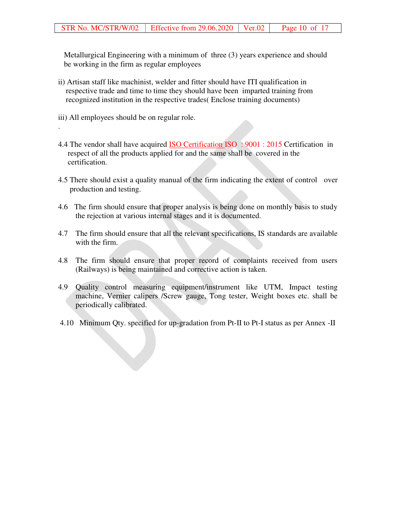Metallurgical Engineering with a minimum of three (3) years experience and should be working in the firm as regular employees

- ii) Artisan staff like machinist, welder and fitter should have ITI qualification in respective trade and time to time they should have been imparted training from recognized institution in the respective trades( Enclose training documents)
- iii) All employees should be on regular role.

.

- 4.4 The vendor shall have acquired ISO Certification ISO : 9001 : 2015 Certification in respect of all the products applied for and the same shall be covered in the certification.
- 4.5 There should exist a quality manual of the firm indicating the extent of control over production and testing.
- 4.6 The firm should ensure that proper analysis is being done on monthly basis to study the rejection at various internal stages and it is documented.
- 4.7 The firm should ensure that all the relevant specifications, IS standards are available with the firm.
- 4.8 The firm should ensure that proper record of complaints received from users (Railways) is being maintained and corrective action is taken.
- 4.9 Quality control measuring equipment/instrument like UTM, Impact testing machine, Vernier calipers /Screw gauge, Tong tester, Weight boxes etc. shall be periodically calibrated.
- 4.10 Minimum Qty. specified for up-gradation from Pt-II to Pt-I status as per Annex -II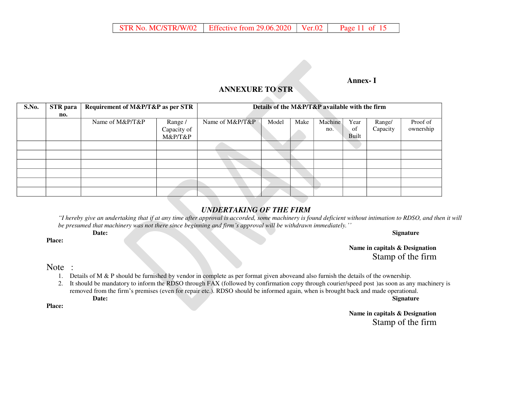#### **Annex- I**

## **ANNEXURE TO STR**

| S.No. | <b>STR</b> para | Requirement of M&P/T&P as per STR |             |                 | Details of the M&P/T&P available with the firm |      |         |       |          |           |
|-------|-----------------|-----------------------------------|-------------|-----------------|------------------------------------------------|------|---------|-------|----------|-----------|
|       | no.             |                                   |             |                 |                                                |      |         |       |          |           |
|       |                 | Name of M&P/T&P                   | Range /     | Name of M&P/T&P | Model                                          | Make | Machine | Year  | Range/   | Proof of  |
|       |                 |                                   | Capacity of |                 |                                                |      | no.     | of    | Capacity | ownership |
|       |                 |                                   | M&P/T&P     |                 |                                                |      |         | Built |          |           |
|       |                 |                                   |             |                 |                                                |      |         |       |          |           |
|       |                 |                                   |             |                 |                                                |      |         |       |          |           |
|       |                 |                                   |             |                 |                                                |      |         |       |          |           |
|       |                 |                                   |             |                 |                                                |      |         |       |          |           |
|       |                 |                                   |             |                 |                                                |      |         |       |          |           |
|       |                 |                                   |             |                 |                                                |      |         |       |          |           |

#### *UNDERTAKING OF THE FIRM*

*"I hereby give an undertaking that if at any time after approval is accorded, some machinery is found deficient without intimation to RDSO, and then it will be presumed that machinery was not there since beginning and firm's approval will be withdrawn immediately.''*

#### **Date:** Signature **Signature**

**Name in capitals & Designation**  Stamp of the firm

#### Note :

**Place:** 

- 1. Details of M & P should be furnished by vendor in complete as per format given aboveand also furnish the details of the ownership.
- 2. It should be mandatory to inform the RDSO through FAX (followed by confirmation copy through courier/speed post )as soon as any machinery is removed from the firm's premises (even for repair etc.). RDSO should be informed again, when is brought back and made operational. **Date: Signature**

**Place:** 

**Name in capitals & Designation**  Stamp of the firm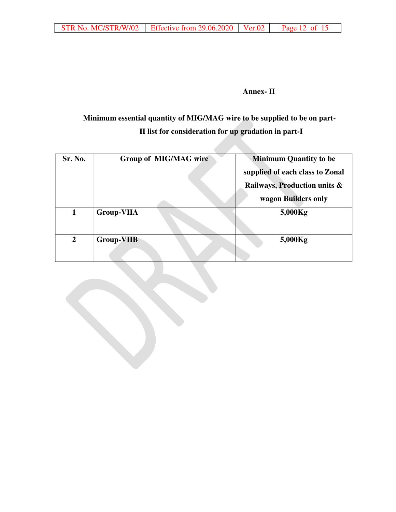#### **Annex- II**

# **Minimum essential quantity of MIG/MAG wire to be supplied to be on part-II list for consideration for up gradation in part-I**

| Sr. No.        | Group of MIG/MAG wire | <b>Minimum Quantity to be</b>   |
|----------------|-----------------------|---------------------------------|
|                |                       | supplied of each class to Zonal |
|                |                       | Railways, Production units &    |
|                |                       | wagon Builders only             |
| 1              | <b>Group-VIIA</b>     | 5,000Kg                         |
| $\overline{2}$ | <b>Group-VIIB</b>     | 5,000Kg                         |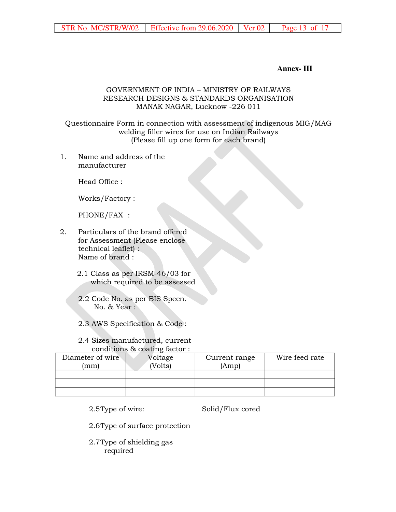**Annex- III**

#### GOVERNMENT OF INDIA – MINISTRY OF RAILWAYS RESEARCH DESIGNS & STANDARDS ORGANISATION MANAK NAGAR, Lucknow -226 011

Questionnaire Form in connection with assessment of indigenous MIG/MAG welding filler wires for use on Indian Railways (Please fill up one form for each brand)

1. Name and address of the manufacturer

Head Office :

Works/Factory :

PHONE/FAX :

- 2. Particulars of the brand offered for Assessment (Please enclose technical leaflet) : Name of brand :
	- 2.1 Class as per IRSM-46/03 for which required to be assessed
	- 2.2 Code No. as per BIS Specn. No. & Year :
	- 2.3 AWS Specification & Code :

#### 2.4 Sizes manufactured, current conditions & coating factor :

| Diameter of wire<br>ˈmml | Voltage<br>Volts) | Current range<br>(Amp) | Wire feed rate |
|--------------------------|-------------------|------------------------|----------------|
|                          |                   |                        |                |
|                          |                   |                        |                |
|                          |                   |                        |                |

2.5Type of wire:

Solid/Flux cored

- 2.6Type of surface protection
- 2.7Type of shielding gas required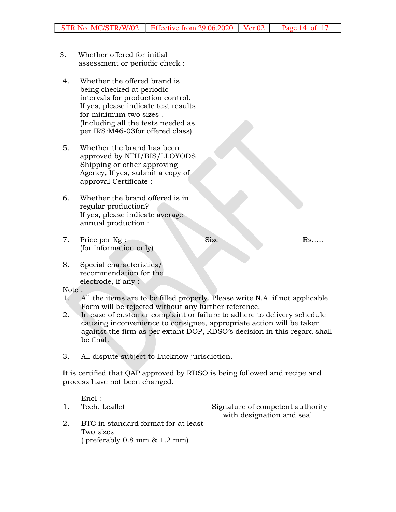- 3. Whether offered for initial assessment or periodic check :
- 4. Whether the offered brand is being checked at periodic intervals for production control. If yes, please indicate test results for minimum two sizes . (Including all the tests needed as per IRS:M46-03for offered class)
- 5. Whether the brand has been approved by NTH/BIS/LLOYODS Shipping or other approving Agency, If yes, submit a copy of approval Certificate :
- 6. Whether the brand offered is in regular production? If yes, please indicate average annual production :
- 7. Price per Kg : (for information only)

Size Rs…..

8. Special characteristics/ recommendation for the electrode, if any :

Note :

- 1. All the items are to be filled properly. Please write N.A. if not applicable. Form will be rejected without any further reference.
- 2. In case of customer complaint or failure to adhere to delivery schedule causing inconvenience to consignee, appropriate action will be taken against the firm as per extant DOP, RDSO's decision in this regard shall be final.
- 3. All dispute subject to Lucknow jurisdiction.

It is certified that QAP approved by RDSO is being followed and recipe and process have not been changed.

Encl : 1. Tech. Leaflet Signature of competent authority with designation and seal 2. BTC in standard format for at least Two sizes ( preferably 0.8 mm & 1.2 mm)